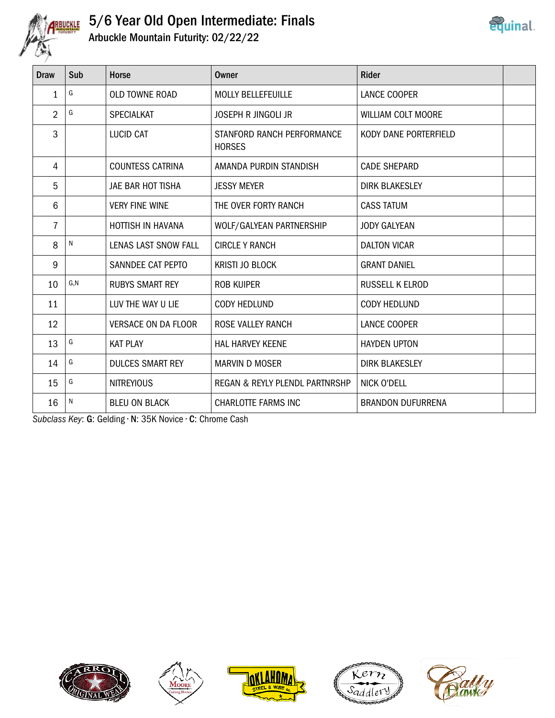

## 5/6 Year Old Open Intermediate: Finals Arbuckle Mountain Futurity: 02/22/22



| Draw           | Sub  | <b>Horse</b>               | Owner                                       | <b>Rider</b>             |  |
|----------------|------|----------------------------|---------------------------------------------|--------------------------|--|
| 1              | G    | <b>OLD TOWNE ROAD</b>      | <b>MOLLY BELLEFEUILLE</b>                   | <b>LANCE COOPER</b>      |  |
| $\overline{2}$ | G    | <b>SPECIALKAT</b>          | <b>JOSEPH R JINGOLI JR</b>                  | WILLIAM COLT MOORE       |  |
| 3              |      | <b>LUCID CAT</b>           | STANFORD RANCH PERFORMANCE<br><b>HORSES</b> | KODY DANE PORTERFIELD    |  |
| 4              |      | <b>COUNTESS CATRINA</b>    | AMANDA PURDIN STANDISH                      | <b>CADE SHEPARD</b>      |  |
| 5              |      | JAE BAR HOT TISHA          | <b>JESSY MEYER</b>                          | <b>DIRK BLAKESLEY</b>    |  |
| 6              |      | <b>VERY FINE WINE</b>      | THE OVER FORTY RANCH                        | <b>CASS TATUM</b>        |  |
| $\overline{7}$ |      | <b>HOTTISH IN HAVANA</b>   | WOLF/GALYEAN PARTNERSHIP                    | <b>JODY GALYEAN</b>      |  |
| 8              | N    | LENAS LAST SNOW FALL       | <b>CIRCLE Y RANCH</b>                       | <b>DALTON VICAR</b>      |  |
| 9              |      | SANNDEE CAT PEPTO          | <b>KRISTI JO BLOCK</b>                      | <b>GRANT DANIEL</b>      |  |
| 10             | G, N | <b>RUBYS SMART REY</b>     | ROB KUIPER                                  | <b>RUSSELL K ELROD</b>   |  |
| 11             |      | LUV THE WAY U LIE          | <b>CODY HEDLUND</b>                         | CODY HEDLUND             |  |
| 12             |      | <b>VERSACE ON DA FLOOR</b> | <b>ROSE VALLEY RANCH</b>                    | <b>LANCE COOPER</b>      |  |
| 13             | G    | <b>KAT PLAY</b>            | <b>HAL HARVEY KEENE</b>                     | <b>HAYDEN UPTON</b>      |  |
| 14             | G    | <b>DULCES SMART REY</b>    | <b>MARVIN D MOSER</b>                       | <b>DIRK BLAKESLEY</b>    |  |
| 15             | G    | <b>NITREYIOUS</b>          | REGAN & REYLY PLENDL PARTNRSHP              | NICK O'DELL              |  |
| 16             | N    | <b>BLEU ON BLACK</b>       | <b>CHARLOTTE FARMS INC</b>                  | <b>BRANDON DUFURRENA</b> |  |

Subclass Key: G: Gelding • N: 35K Novice • C: Chrome Cash